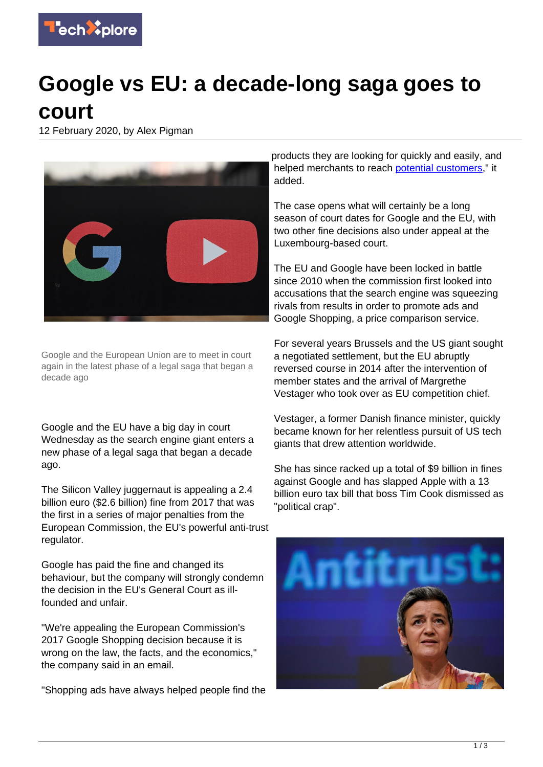

## **Google vs EU: a decade-long saga goes to court**

12 February 2020, by Alex Pigman



Google and the European Union are to meet in court again in the latest phase of a legal saga that began a decade ago

Google and the EU have a big day in court Wednesday as the search engine giant enters a new phase of a legal saga that began a decade ago.

The Silicon Valley juggernaut is appealing a 2.4 billion euro (\$2.6 billion) fine from 2017 that was the first in a series of major penalties from the European Commission, the EU's powerful anti-trust regulator.

Google has paid the fine and changed its behaviour, but the company will strongly condemn the decision in the EU's General Court as illfounded and unfair.

"We're appealing the European Commission's 2017 Google Shopping decision because it is wrong on the law, the facts, and the economics," the company said in an email.

"Shopping ads have always helped people find the

products they are looking for quickly and easily, and helped merchants to reach [potential customers](https://techxplore.com/tags/potential+customers/)," it added.

The case opens what will certainly be a long season of court dates for Google and the EU, with two other fine decisions also under appeal at the Luxembourg-based court.

The EU and Google have been locked in battle since 2010 when the commission first looked into accusations that the search engine was squeezing rivals from results in order to promote ads and Google Shopping, a price comparison service.

For several years Brussels and the US giant sought a negotiated settlement, but the EU abruptly reversed course in 2014 after the intervention of member states and the arrival of Margrethe Vestager who took over as EU competition chief.

Vestager, a former Danish finance minister, quickly became known for her relentless pursuit of US tech giants that drew attention worldwide.

She has since racked up a total of \$9 billion in fines against Google and has slapped Apple with a 13 billion euro tax bill that boss Tim Cook dismissed as "political crap".

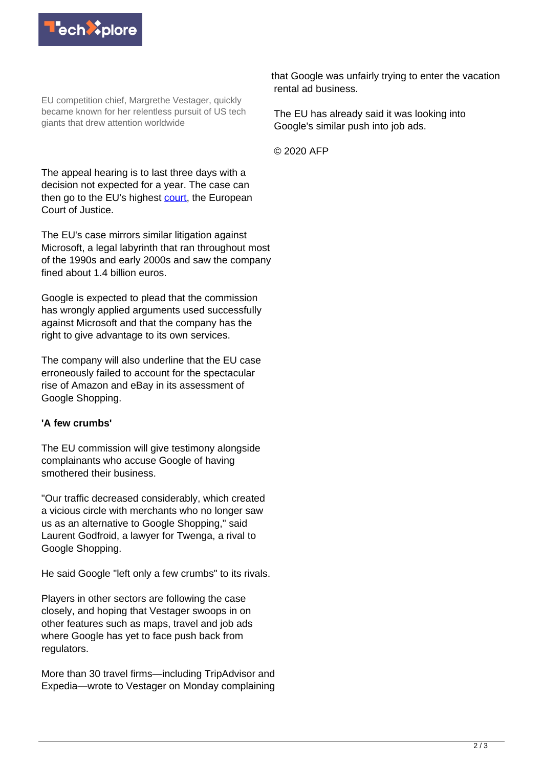

EU competition chief, Margrethe Vestager, quickly became known for her relentless pursuit of US tech giants that drew attention worldwide

The appeal hearing is to last three days with a decision not expected for a year. The case can then go to the EU's highest [court,](https://techxplore.com/tags/court/) the European Court of Justice.

The EU's case mirrors similar litigation against Microsoft, a legal labyrinth that ran throughout most of the 1990s and early 2000s and saw the company fined about 1.4 billion euros.

Google is expected to plead that the commission has wrongly applied arguments used successfully against Microsoft and that the company has the right to give advantage to its own services.

The company will also underline that the EU case erroneously failed to account for the spectacular rise of Amazon and eBay in its assessment of Google Shopping.

## **'A few crumbs'**

The EU commission will give testimony alongside complainants who accuse Google of having smothered their business.

"Our traffic decreased considerably, which created a vicious circle with merchants who no longer saw us as an alternative to Google Shopping," said Laurent Godfroid, a lawyer for Twenga, a rival to Google Shopping.

He said Google "left only a few crumbs" to its rivals.

Players in other sectors are following the case closely, and hoping that Vestager swoops in on other features such as maps, travel and job ads where Google has yet to face push back from regulators.

More than 30 travel firms—including TripAdvisor and Expedia—wrote to Vestager on Monday complaining

that Google was unfairly trying to enter the vacation rental ad business.

The EU has already said it was looking into Google's similar push into job ads.

© 2020 AFP